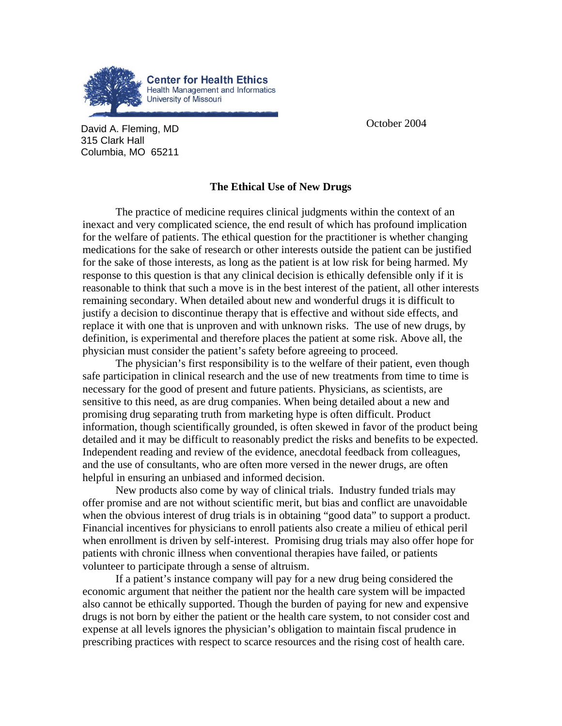

**David A. Fleming, MD David A. Fleming, MD** 315 Clark Hall Columbia, MO 65211

## **The Ethical Use of New Drugs**

The practice of medicine requires clinical judgments within the context of an inexact and very complicated science, the end result of which has profound implication for the welfare of patients. The ethical question for the practitioner is whether changing medications for the sake of research or other interests outside the patient can be justified for the sake of those interests, as long as the patient is at low risk for being harmed. My response to this question is that any clinical decision is ethically defensible only if it is reasonable to think that such a move is in the best interest of the patient, all other interests remaining secondary. When detailed about new and wonderful drugs it is difficult to justify a decision to discontinue therapy that is effective and without side effects, and replace it with one that is unproven and with unknown risks. The use of new drugs, by definition, is experimental and therefore places the patient at some risk. Above all, the physician must consider the patient's safety before agreeing to proceed.

The physician's first responsibility is to the welfare of their patient, even though safe participation in clinical research and the use of new treatments from time to time is necessary for the good of present and future patients. Physicians, as scientists, are sensitive to this need, as are drug companies. When being detailed about a new and promising drug separating truth from marketing hype is often difficult. Product information, though scientifically grounded, is often skewed in favor of the product being detailed and it may be difficult to reasonably predict the risks and benefits to be expected. Independent reading and review of the evidence, anecdotal feedback from colleagues, and the use of consultants, who are often more versed in the newer drugs, are often helpful in ensuring an unbiased and informed decision.

New products also come by way of clinical trials. Industry funded trials may offer promise and are not without scientific merit, but bias and conflict are unavoidable when the obvious interest of drug trials is in obtaining "good data" to support a product. Financial incentives for physicians to enroll patients also create a milieu of ethical peril when enrollment is driven by self-interest. Promising drug trials may also offer hope for patients with chronic illness when conventional therapies have failed, or patients volunteer to participate through a sense of altruism.

If a patient's instance company will pay for a new drug being considered the economic argument that neither the patient nor the health care system will be impacted also cannot be ethically supported. Though the burden of paying for new and expensive drugs is not born by either the patient or the health care system, to not consider cost and expense at all levels ignores the physician's obligation to maintain fiscal prudence in prescribing practices with respect to scarce resources and the rising cost of health care.